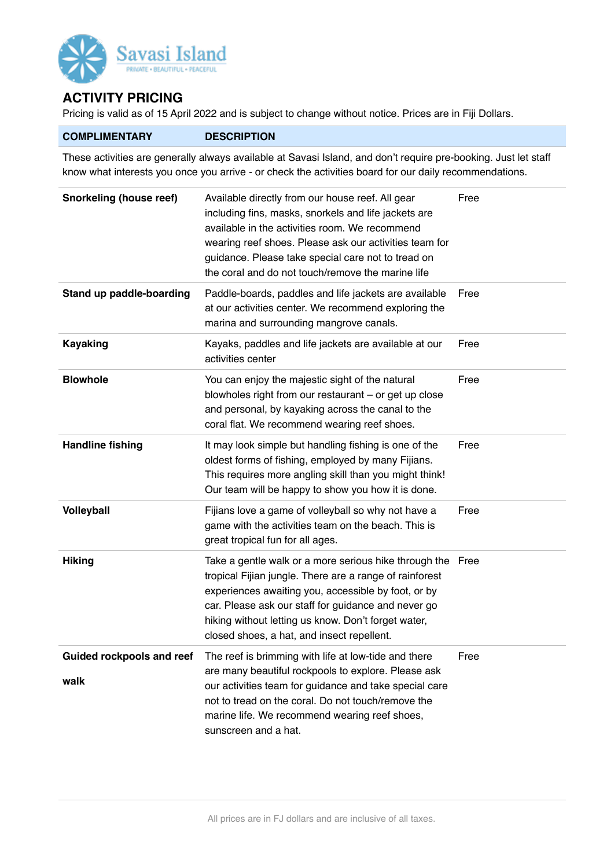

## **ACTIVITY PRICING**

Pricing is valid as of 15 April 2022 and is subject to change without notice. Prices are in Fiji Dollars.

## **COMPLIMENTARY DESCRIPTION**

These activities are generally always available at Savasi Island, and don't require pre-booking. Just let staff know what interests you once you arrive - or check the activities board for our daily recommendations.

| Snorkeling (house reef)                  | Available directly from our house reef. All gear<br>including fins, masks, snorkels and life jackets are<br>available in the activities room. We recommend<br>wearing reef shoes. Please ask our activities team for<br>guidance. Please take special care not to tread on<br>the coral and do not touch/remove the marine life          | Free |
|------------------------------------------|------------------------------------------------------------------------------------------------------------------------------------------------------------------------------------------------------------------------------------------------------------------------------------------------------------------------------------------|------|
| Stand up paddle-boarding                 | Paddle-boards, paddles and life jackets are available<br>at our activities center. We recommend exploring the<br>marina and surrounding mangrove canals.                                                                                                                                                                                 | Free |
| <b>Kayaking</b>                          | Kayaks, paddles and life jackets are available at our<br>activities center                                                                                                                                                                                                                                                               | Free |
| <b>Blowhole</b>                          | You can enjoy the majestic sight of the natural<br>blowholes right from our restaurant - or get up close<br>and personal, by kayaking across the canal to the<br>coral flat. We recommend wearing reef shoes.                                                                                                                            | Free |
| <b>Handline fishing</b>                  | It may look simple but handling fishing is one of the<br>oldest forms of fishing, employed by many Fijians.<br>This requires more angling skill than you might think!<br>Our team will be happy to show you how it is done.                                                                                                              | Free |
| Volleyball                               | Fijians love a game of volleyball so why not have a<br>game with the activities team on the beach. This is<br>great tropical fun for all ages.                                                                                                                                                                                           | Free |
| <b>Hiking</b>                            | Take a gentle walk or a more serious hike through the Free<br>tropical Fijian jungle. There are a range of rainforest<br>experiences awaiting you, accessible by foot, or by<br>car. Please ask our staff for guidance and never go<br>hiking without letting us know. Don't forget water,<br>closed shoes, a hat, and insect repellent. |      |
| <b>Guided rockpools and reef</b><br>walk | The reef is brimming with life at low-tide and there<br>are many beautiful rockpools to explore. Please ask<br>our activities team for guidance and take special care<br>not to tread on the coral. Do not touch/remove the<br>marine life. We recommend wearing reef shoes,<br>sunscreen and a hat.                                     | Free |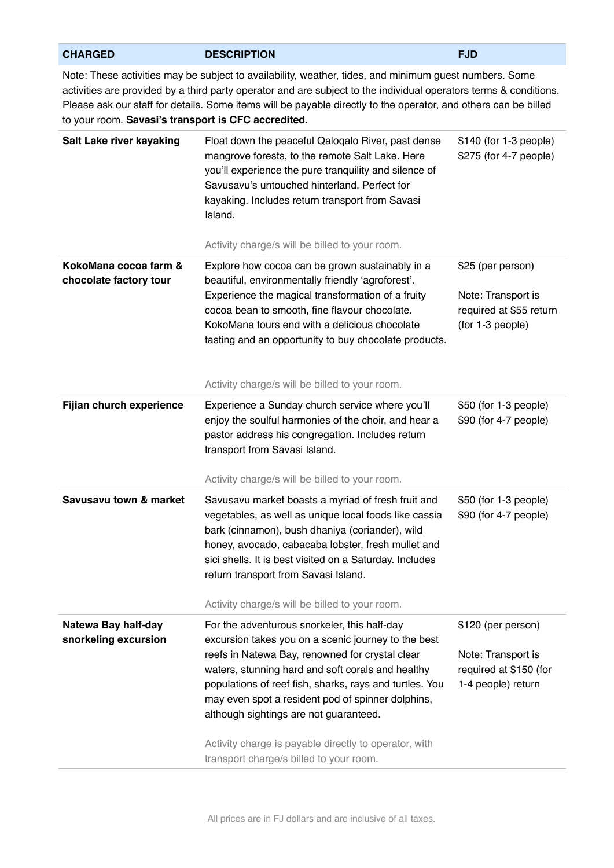| Note: These activities may be subject to availability, weather, tides, and minimum guest numbers. Some<br>activities are provided by a third party operator and are subject to the individual operators terms & conditions.<br>Please ask our staff for details. Some items will be payable directly to the operator, and others can be billed<br>to your room. Savasi's transport is CFC accredited.                          |                                                                                                                                              |  |  |  |
|--------------------------------------------------------------------------------------------------------------------------------------------------------------------------------------------------------------------------------------------------------------------------------------------------------------------------------------------------------------------------------------------------------------------------------|----------------------------------------------------------------------------------------------------------------------------------------------|--|--|--|
| Float down the peaceful Qaloqalo River, past dense<br>mangrove forests, to the remote Salt Lake. Here<br>you'll experience the pure tranquility and silence of<br>Savusavu's untouched hinterland. Perfect for<br>kayaking. Includes return transport from Savasi<br>Island.                                                                                                                                                   | \$140 (for 1-3 people)<br>\$275 (for 4-7 people)                                                                                             |  |  |  |
|                                                                                                                                                                                                                                                                                                                                                                                                                                |                                                                                                                                              |  |  |  |
| beautiful, environmentally friendly 'agroforest'.<br>Experience the magical transformation of a fruity<br>cocoa bean to smooth, fine flavour chocolate.<br>KokoMana tours end with a delicious chocolate<br>tasting and an opportunity to buy chocolate products.                                                                                                                                                              | \$25 (per person)<br>Note: Transport is<br>required at \$55 return<br>(for 1-3 people)                                                       |  |  |  |
| Activity charge/s will be billed to your room.                                                                                                                                                                                                                                                                                                                                                                                 |                                                                                                                                              |  |  |  |
| Experience a Sunday church service where you'll<br>enjoy the soulful harmonies of the choir, and hear a<br>pastor address his congregation. Includes return<br>transport from Savasi Island.                                                                                                                                                                                                                                   | \$50 (for 1-3 people)<br>\$90 (for 4-7 people)                                                                                               |  |  |  |
| Activity charge/s will be billed to your room.                                                                                                                                                                                                                                                                                                                                                                                 |                                                                                                                                              |  |  |  |
| Savusavu market boasts a myriad of fresh fruit and<br>vegetables, as well as unique local foods like cassia<br>bark (cinnamon), bush dhaniya (coriander), wild<br>honey, avocado, cabacaba lobster, fresh mullet and<br>sici shells. It is best visited on a Saturday. Includes<br>return transport from Savasi Island.                                                                                                        | \$50 (for 1-3 people)<br>\$90 (for 4-7 people)                                                                                               |  |  |  |
| Activity charge/s will be billed to your room.                                                                                                                                                                                                                                                                                                                                                                                 |                                                                                                                                              |  |  |  |
| For the adventurous snorkeler, this half-day<br>excursion takes you on a scenic journey to the best<br>reefs in Natewa Bay, renowned for crystal clear<br>waters, stunning hard and soft corals and healthy<br>populations of reef fish, sharks, rays and turtles. You<br>may even spot a resident pod of spinner dolphins,<br>although sightings are not guaranteed.<br>Activity charge is payable directly to operator, with | \$120 (per person)<br>Note: Transport is<br>required at \$150 (for<br>1-4 people) return                                                     |  |  |  |
|                                                                                                                                                                                                                                                                                                                                                                                                                                | Activity charge/s will be billed to your room.<br>Explore how cocoa can be grown sustainably in a<br>transport charge/s billed to your room. |  |  |  |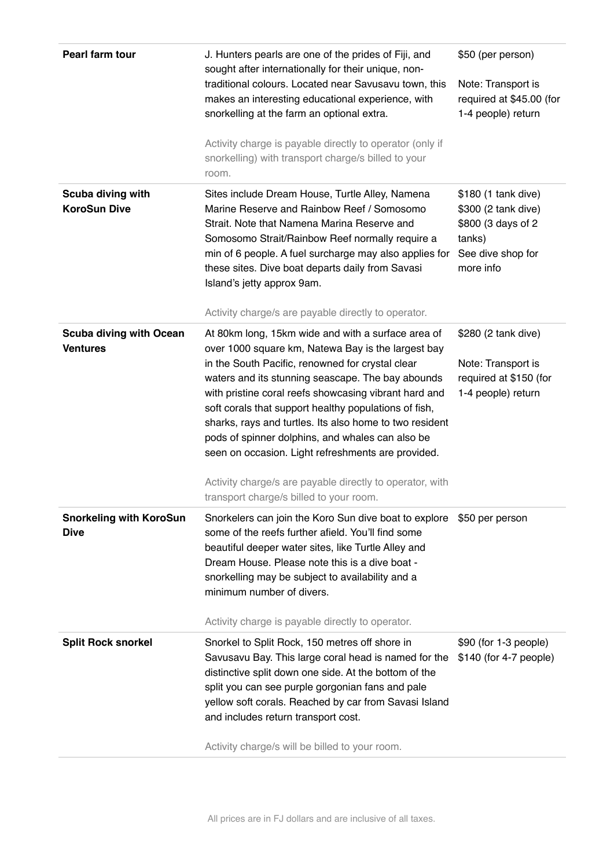| Pearl farm tour                                   | J. Hunters pearls are one of the prides of Fiji, and<br>sought after internationally for their unique, non-                                                                                                                                                                                                                                                                                                                                                                                              | \$50 (per person)                                                                                            |
|---------------------------------------------------|----------------------------------------------------------------------------------------------------------------------------------------------------------------------------------------------------------------------------------------------------------------------------------------------------------------------------------------------------------------------------------------------------------------------------------------------------------------------------------------------------------|--------------------------------------------------------------------------------------------------------------|
|                                                   | traditional colours. Located near Savusavu town, this<br>makes an interesting educational experience, with<br>snorkelling at the farm an optional extra.                                                                                                                                                                                                                                                                                                                                                 | Note: Transport is<br>required at \$45.00 (for<br>1-4 people) return                                         |
|                                                   | Activity charge is payable directly to operator (only if<br>snorkelling) with transport charge/s billed to your<br>room.                                                                                                                                                                                                                                                                                                                                                                                 |                                                                                                              |
| Scuba diving with<br><b>KoroSun Dive</b>          | Sites include Dream House, Turtle Alley, Namena<br>Marine Reserve and Rainbow Reef / Somosomo<br>Strait. Note that Namena Marina Reserve and<br>Somosomo Strait/Rainbow Reef normally require a<br>min of 6 people. A fuel surcharge may also applies for<br>these sites. Dive boat departs daily from Savasi<br>Island's jetty approx 9am.<br>Activity charge/s are payable directly to operator.                                                                                                       | \$180 (1 tank dive)<br>\$300 (2 tank dive)<br>\$800 (3 days of 2<br>tanks)<br>See dive shop for<br>more info |
| <b>Scuba diving with Ocean</b><br><b>Ventures</b> | At 80km long, 15km wide and with a surface area of<br>over 1000 square km, Natewa Bay is the largest bay<br>in the South Pacific, renowned for crystal clear<br>waters and its stunning seascape. The bay abounds<br>with pristine coral reefs showcasing vibrant hard and<br>soft corals that support healthy populations of fish,<br>sharks, rays and turtles. Its also home to two resident<br>pods of spinner dolphins, and whales can also be<br>seen on occasion. Light refreshments are provided. | \$280 (2 tank dive)<br>Note: Transport is<br>required at \$150 (for<br>1-4 people) return                    |
|                                                   | Activity charge/s are payable directly to operator, with<br>transport charge/s billed to your room.                                                                                                                                                                                                                                                                                                                                                                                                      |                                                                                                              |
| <b>Snorkeling with KoroSun</b><br><b>Dive</b>     | Snorkelers can join the Koro Sun dive boat to explore \$50 per person<br>some of the reefs further afield. You'll find some<br>beautiful deeper water sites, like Turtle Alley and<br>Dream House. Please note this is a dive boat -<br>snorkelling may be subject to availability and a<br>minimum number of divers.                                                                                                                                                                                    |                                                                                                              |
|                                                   | Activity charge is payable directly to operator.                                                                                                                                                                                                                                                                                                                                                                                                                                                         |                                                                                                              |
| <b>Split Rock snorkel</b>                         | Snorkel to Split Rock, 150 metres off shore in<br>Savusavu Bay. This large coral head is named for the<br>distinctive split down one side. At the bottom of the<br>split you can see purple gorgonian fans and pale<br>yellow soft corals. Reached by car from Savasi Island<br>and includes return transport cost.                                                                                                                                                                                      | $$90$ (for 1-3 people)<br>\$140 (for 4-7 people)                                                             |
|                                                   | Activity charge/s will be billed to your room.                                                                                                                                                                                                                                                                                                                                                                                                                                                           |                                                                                                              |